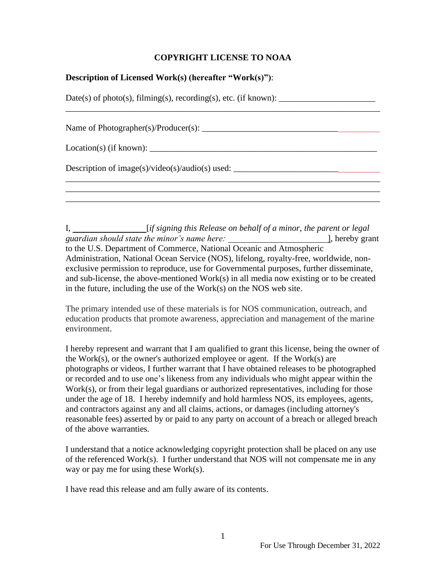## **COPYRIGHT LICENSE TO NOAA**

## **Description of Licensed Work(s) (hereafter "Work(s)")**:

 $Date(s)$  of photo(s), filming(s), recording(s), etc. (if known):  $\_\_\_\_\_\_\_\_\_\_\_\_\_\_\_\_\_\_\_\_$ 

Name of Photographer(s)/Producer(s): \_\_\_\_\_\_\_\_\_\_\_\_\_\_\_\_\_\_\_\_\_\_\_\_\_\_\_\_\_\_\_

\_\_\_\_\_\_\_\_\_\_\_\_\_\_\_\_\_\_\_\_\_\_\_\_\_\_\_\_\_\_\_\_\_\_\_\_\_\_\_\_\_\_\_\_\_\_\_\_\_\_\_\_\_\_\_\_\_\_\_\_\_\_\_\_\_\_\_\_\_\_\_\_

 $Location(s)$  (if known):  $\Box$ 

Description of image(s)/video(s)/audio(s) used:  $\Box$ 

I, *<i>if signing this Release on behalf of a minor, the parent or legal in legal guardian should state the minor's name here:* ], hereby grant to the U.S. Department of Commerce, National Oceanic and Atmospheric Administration, National Ocean Service (NOS), lifelong, royalty-free, worldwide, nonexclusive permission to reproduce, use for Governmental purposes, further disseminate, and sub-license, the above-mentioned Work(s) in all media now existing or to be created in the future, including the use of the Work(s) on the NOS web site.

\_\_\_\_\_\_\_\_\_\_\_\_\_\_\_\_\_\_\_\_\_\_\_\_\_\_\_\_\_\_\_\_\_\_\_\_\_\_\_\_\_\_\_\_\_\_\_\_\_\_\_\_\_\_\_\_\_\_\_\_\_\_\_\_\_\_\_\_\_\_\_\_ \_\_\_\_\_\_\_\_\_\_\_\_\_\_\_\_\_\_\_\_\_\_\_\_\_\_\_\_\_\_\_\_\_\_\_\_\_\_\_\_\_\_\_\_\_\_\_\_\_\_\_\_\_\_\_\_\_\_\_\_\_\_\_\_\_\_\_\_\_\_\_\_

The primary intended use of these materials is for NOS communication, outreach, and education products that promote awareness, appreciation and management of the marine environment.

I hereby represent and warrant that I am qualified to grant this license, being the owner of the Work(s), or the owner's authorized employee or agent. If the Work(s) are photographs or videos, I further warrant that I have obtained releases to be photographed or recorded and to use one's likeness from any individuals who might appear within the Work(s), or from their legal guardians or authorized representatives, including for those under the age of 18. I hereby indemnify and hold harmless NOS, its employees, agents, and contractors against any and all claims, actions, or damages (including attorney's reasonable fees) asserted by or paid to any party on account of a breach or alleged breach of the above warranties.

I understand that a notice acknowledging copyright protection shall be placed on any use of the referenced Work(s). I further understand that NOS will not compensate me in any way or pay me for using these Work(s).

I have read this release and am fully aware of its contents.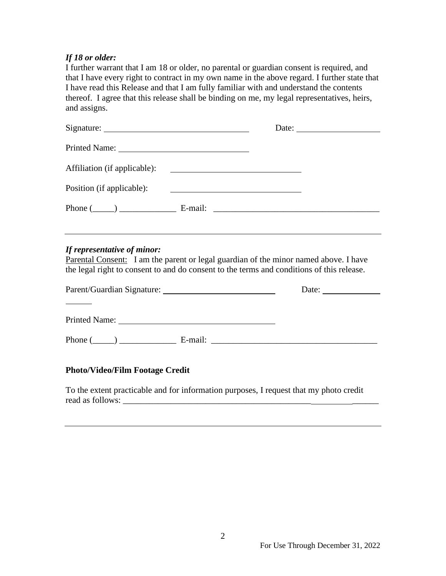## *If 18 or older:*

I further warrant that I am 18 or older, no parental or guardian consent is required, and that I have every right to contract in my own name in the above regard. I further state that I have read this Release and that I am fully familiar with and understand the contents thereof. I agree that this release shall be binding on me, my legal representatives, heirs, and assigns.

|                                                                                                                                                                                                                  |                                                       | Date: $\qquad \qquad$                                                               |
|------------------------------------------------------------------------------------------------------------------------------------------------------------------------------------------------------------------|-------------------------------------------------------|-------------------------------------------------------------------------------------|
| Printed Name: 2008                                                                                                                                                                                               |                                                       |                                                                                     |
|                                                                                                                                                                                                                  |                                                       |                                                                                     |
| Position (if applicable):                                                                                                                                                                                        | <u> 1989 - Johann Stein, fransk politik (d. 1989)</u> |                                                                                     |
|                                                                                                                                                                                                                  |                                                       |                                                                                     |
| If representative of minor:<br>Parental Consent: I am the parent or legal guardian of the minor named above. I have<br>the legal right to consent to and do consent to the terms and conditions of this release. |                                                       |                                                                                     |
|                                                                                                                                                                                                                  |                                                       | Date: $\_\_$                                                                        |
|                                                                                                                                                                                                                  |                                                       |                                                                                     |
|                                                                                                                                                                                                                  |                                                       | Phone $(\_\_\_\_)$ $\_\_\_\_\_\_\$ E-mail: $\_\_\_\_\_\_\_\_\_\_\_\_\_\_\_\_\_\_\_$ |
| <b>Photo/Video/Film Footage Credit</b>                                                                                                                                                                           |                                                       |                                                                                     |
| To the extent practicable and for information purposes, I request that my photo credit                                                                                                                           |                                                       |                                                                                     |

read as follows: